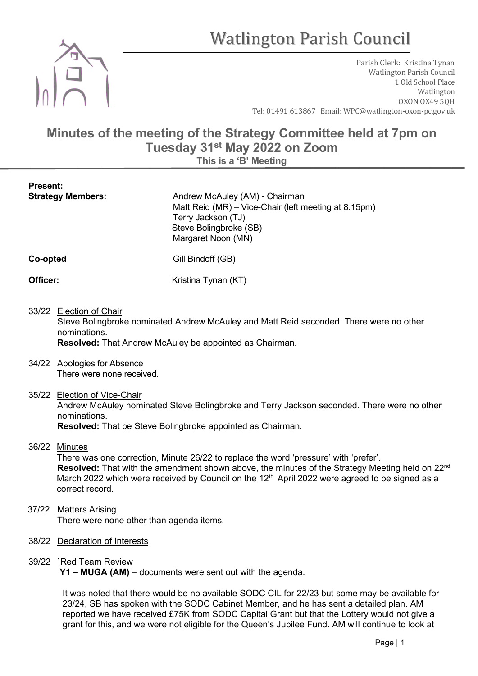# Watlington Parish Council



Present:

Parish Clerk: Kristina Tynan Watlington Parish Council 1 Old School Place Watlington OXON OX49 5QH Tel: 01491 613867 Email: WPC@watlington-oxon-pc.gov.uk

# Minutes of the meeting of the Strategy Committee held at 7pm on Tuesday 31st May 2022 on Zoom

This is a 'B' Meeting

| <b>Strategy Members:</b> | Andrew McAuley (AM) - Chairman<br>Matt Reid (MR) – Vice-Chair (left meeting at 8.15pm)<br>Terry Jackson (TJ)<br>Steve Bolingbroke (SB)<br>Margaret Noon (MN) |
|--------------------------|--------------------------------------------------------------------------------------------------------------------------------------------------------------|
| Co-opted                 | Gill Bindoff (GB)                                                                                                                                            |
| Officer:                 | Kristina Tynan (KT)                                                                                                                                          |

# 33/22 Election of Chair

 Steve Bolingbroke nominated Andrew McAuley and Matt Reid seconded. There were no other nominations.

Resolved: That Andrew McAuley be appointed as Chairman.

- 34/22 Apologies for Absence There were none received.
- 35/22 Election of Vice-Chair

 Andrew McAuley nominated Steve Bolingbroke and Terry Jackson seconded. There were no other nominations.

Resolved: That be Steve Bolingbroke appointed as Chairman.

36/22 Minutes

 There was one correction, Minute 26/22 to replace the word 'pressure' with 'prefer'. Resolved: That with the amendment shown above, the minutes of the Strategy Meeting held on 22<sup>nd</sup> March 2022 which were received by Council on the  $12<sup>th</sup>$  April 2022 were agreed to be signed as a correct record.

- 37/22 Matters Arising There were none other than agenda items.
- 38/22 Declaration of Interests

### 39/22 `Red Team Review

Y1 – MUGA (AM) – documents were sent out with the agenda.

 It was noted that there would be no available SODC CIL for 22/23 but some may be available for 23/24, SB has spoken with the SODC Cabinet Member, and he has sent a detailed plan. AM reported we have received £75K from SODC Capital Grant but that the Lottery would not give a grant for this, and we were not eligible for the Queen's Jubilee Fund. AM will continue to look at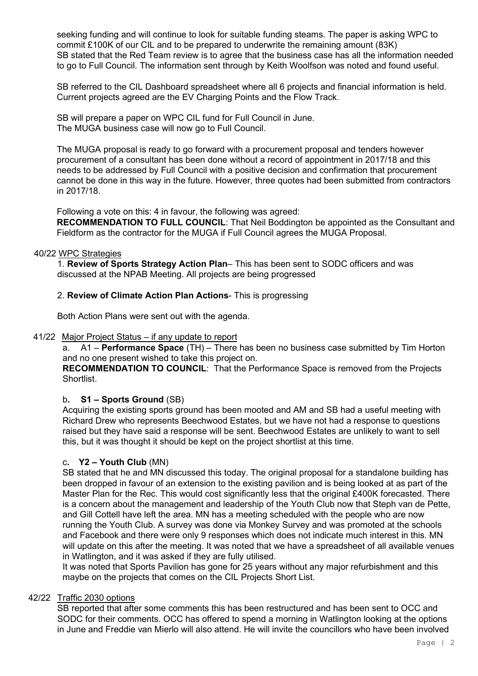seeking funding and will continue to look for suitable funding steams. The paper is asking WPC to commit £100K of our CIL and to be prepared to underwrite the remaining amount (83K) SB stated that the Red Team review is to agree that the business case has all the information needed to go to Full Council. The information sent through by Keith Woolfson was noted and found useful.

SB referred to the CIL Dashboard spreadsheet where all 6 projects and financial information is held. Current projects agreed are the EV Charging Points and the Flow Track.

SB will prepare a paper on WPC CIL fund for Full Council in June. The MUGA business case will now go to Full Council.

The MUGA proposal is ready to go forward with a procurement proposal and tenders however procurement of a consultant has been done without a record of appointment in 2017/18 and this needs to be addressed by Full Council with a positive decision and confirmation that procurement cannot be done in this way in the future. However, three quotes had been submitted from contractors in 2017/18.

Following a vote on this: 4 in favour, the following was agreed: RECOMMENDATION TO FULL COUNCIL: That Neil Boddington be appointed as the Consultant and Fieldform as the contractor for the MUGA if Full Council agrees the MUGA Proposal.

#### 40/22 WPC Strategies

 1. Review of Sports Strategy Action Plan– This has been sent to SODC officers and was discussed at the NPAB Meeting. All projects are being progressed

#### 2. Review of Climate Action Plan Actions- This is progressing

Both Action Plans were sent out with the agenda.

41/22 Major Project Status – if any update to report

a. A1 – Performance Space (TH) – There has been no business case submitted by Tim Horton and no one present wished to take this project on.

RECOMMENDATION TO COUNCIL: That the Performance Space is removed from the Projects Shortlist.

#### b. S1 – Sports Ground (SB)

Acquiring the existing sports ground has been mooted and AM and SB had a useful meeting with Richard Drew who represents Beechwood Estates, but we have not had a response to questions raised but they have said a response will be sent. Beechwood Estates are unlikely to want to sell this, but it was thought it should be kept on the project shortlist at this time.

#### c. Y2 – Youth Club (MN)

SB stated that he and MN discussed this today. The original proposal for a standalone building has been dropped in favour of an extension to the existing pavilion and is being looked at as part of the Master Plan for the Rec. This would cost significantly less that the original £400K forecasted. There is a concern about the management and leadership of the Youth Club now that Steph van de Pette, and Gill Cottell have left the area. MN has a meeting scheduled with the people who are now running the Youth Club. A survey was done via Monkey Survey and was promoted at the schools and Facebook and there were only 9 responses which does not indicate much interest in this. MN will update on this after the meeting. It was noted that we have a spreadsheet of all available venues in Watlington, and it was asked if they are fully utilised.

It was noted that Sports Pavilion has gone for 25 years without any major refurbishment and this maybe on the projects that comes on the CIL Projects Short List.

#### 42/22 Traffic 2030 options

 SB reported that after some comments this has been restructured and has been sent to OCC and SODC for their comments. OCC has offered to spend a morning in Watlington looking at the options in June and Freddie van Mierlo will also attend. He will invite the councillors who have been involved